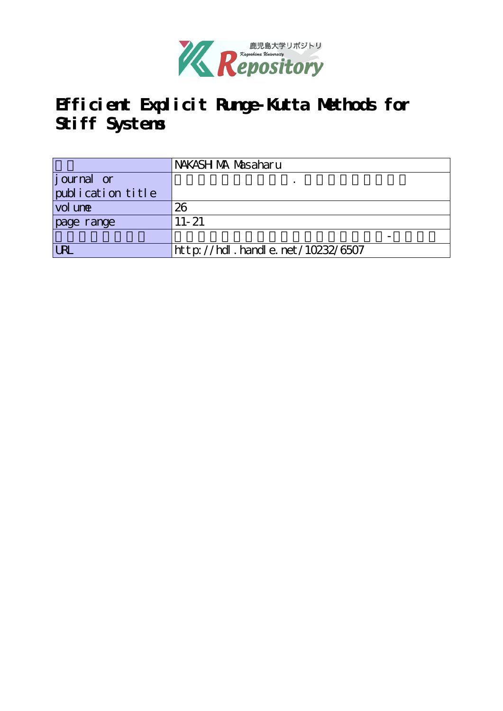

# **Efficient Explicit Runge-Kutta Methods for Stiff Systems**

|                   | NAKASH MA Masaharu               |
|-------------------|----------------------------------|
| journal or        |                                  |
| publication title |                                  |
| vol une           | 26                               |
| page range        | $11 - 21$                        |
|                   |                                  |
| <b>LRL</b>        | http://hdl.handle.net/10232/6507 |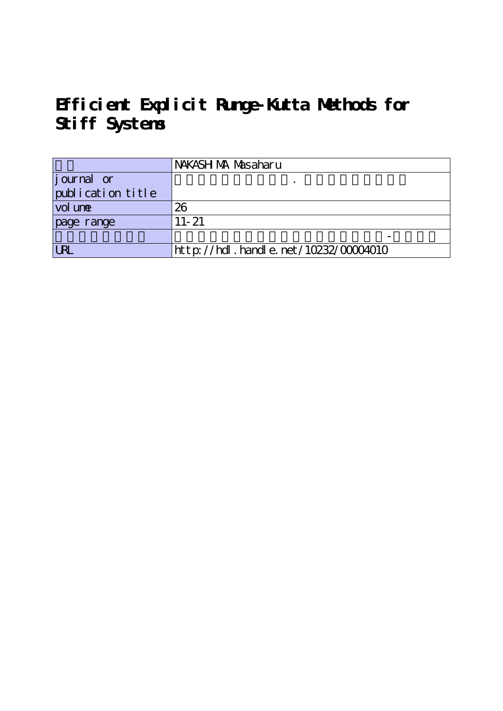# **Efficient Explicit Runge-Kutta Methods for Stiff Systems**

|                     | NAKASH MA Masaharu                   |
|---------------------|--------------------------------------|
| journal or          |                                      |
| publication title   |                                      |
| vol un <del>e</del> | 26                                   |
| page range          | $11 - 21$                            |
|                     |                                      |
| <b>LRI</b>          | http://hdl.handle.net/10232/00004010 |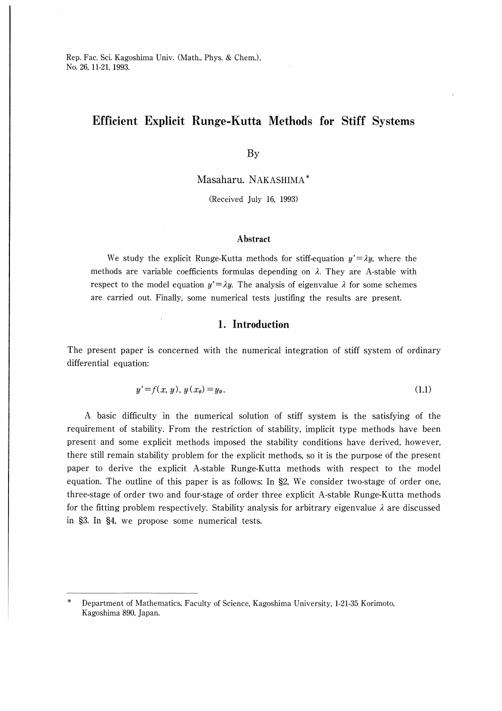# Efficient Explicit Runge-Kutta Methods for Stiff Systems

By

Masaharu. NAKASHIMA

(Received July 16, 1993)

### Abstract

We study the explicit Runge-Kutta methods for stiff-equation  $y' = \lambda y$ , where the methods are variable coefficients formulas depending on  $\lambda$ . They are A-stable with respect to the model equation  $y' = \lambda y$ . The analysis of eigenvalue  $\lambda$  for some schemes are carried out. Finally, some numerical tests justifing the results are present.

### l. Introduction

The present paper is concerned with the numerical integration of stiff system of ordinary differential equation:

$$
y' = f(x, y), y(x_0) = y_0.
$$
 (1.1)

A basic difficulty in the numerical solution of stiff system is the satisfying of the requirement of stability. From the restriction of stability, implicit type methods have been present and some explicit methods imposed the stability conditions have derived, however, there still remain stability problem for the explicit methods, so it is the purpose of the present paper to derive the explicit A-stable Runge-Kutta methods with respect to the model equation. The outline of this paper is as follows: In §2, We consider two-stage of order one, three-stage of order two and four-stage of order three explicit A-stable Runge-Kutta methods for the fitting problem respectively. Stability analysis for arbitrary eigenvalue  $\lambda$  are discussed in §3. In §4, we propose some numerical tests.

Department of Mathematics, Faculty of Science, Kagoshima University, 1-21-35 Korimoto, Kagoshima 890, Japan.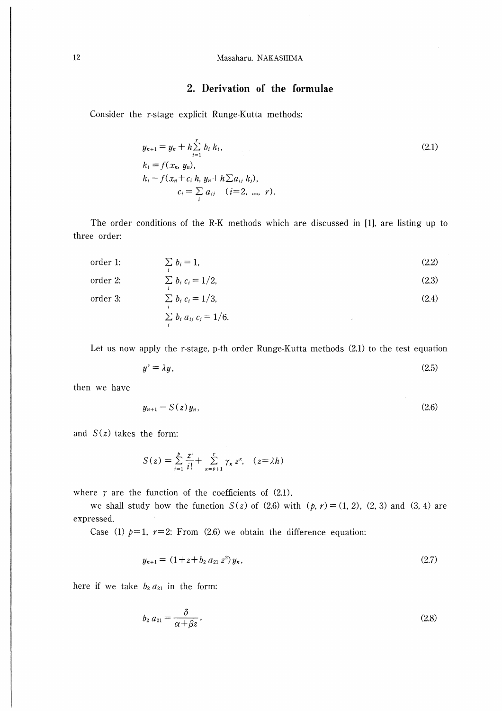### <sup>12</sup> Masaharu. NAKASHIMA

## 2. Derivation of the formulae

Consider the r-stage explicit Runge-Kutta methods:

$$
y_{n+1} = y_n + h \sum_{i=1}^r b_i k_i,
$$
  
\n
$$
k_1 = f(x_n, y_n),
$$
  
\n
$$
k_i = f(x_n + c_i h, y_n + h \sum a_{ij} k_i),
$$
  
\n
$$
c_i = \sum_i a_{ij} \quad (i = 2, ..., r).
$$
\n(2.1)

The order conditions of the R-K methods which are discussed in [1], are listing up to three order:

order 1: 
$$
\sum_{i} b_{i} = 1
$$
, (2.2)  
\norder 2:  $\sum_{i} b_{i} c_{i} = 1/2$ ,  
\norder 3:  $\sum_{i} b_{i} c_{i} = 1/3$ , (2.4)  
\n $\sum_{i} b_{i} a_{ij} c_{j} = 1/6$ .

Let us now apply the r-stage, p-th order Runge-Kutta methods (2.1) to the test equation

$$
y' = \lambda y,\tag{2.5}
$$

then we have

$$
y_{n+1} = S(z)y_n, \tag{2.6}
$$

and  $S(z)$  takes the form:

$$
S(z) = \sum_{i=1}^{p} \frac{z^{i}}{i!} + \sum_{\kappa=p+1}^{r} \gamma_{\kappa} z^{\kappa}, \quad (z = \lambda h)
$$

where  $\gamma$  are the function of the coefficients of (2.1).

we shall study how the function  $S(z)$  of (2.6) with  $(p, r) = (1, 2)$ , (2, 3) and (3, 4) are expressed.

Case (1)  $p=1$ ,  $r=2$ : From (2.6) we obtain the difference equation:

$$
y_{n+1} = (1 + z + b_2 a_{21} z^2) y_n, \tag{2.7}
$$

here if we take  $b_2 a_{21}$  in the form:

$$
b_2 a_{21} = \frac{\delta}{\alpha + \beta z},\tag{2.8}
$$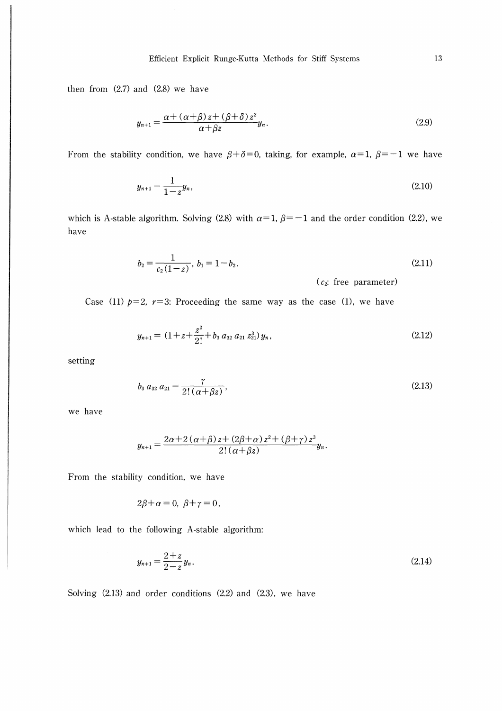then from  $(2.7)$  and  $(2.8)$  we have

$$
y_{n+1} = \frac{\alpha + (\alpha + \beta)z + (\beta + \delta)z^2}{\alpha + \beta z} y_n.
$$
 (2.9)

From the stability condition, we have  $\beta + \delta = 0$ , taking, for example,  $\alpha = 1$ ,  $\beta = -1$  we have

$$
y_{n+1} = \frac{1}{1-z}y_n,\tag{2.10}
$$

which is A-stable algorithm. Solving (2.8) with  $\alpha=1$ ,  $\beta=-1$  and the order condition (2.2), we have

$$
b_2 = \frac{1}{c_2(1-z)}, \ b_1 = 1 - b_2. \tag{2.11}
$$

 $(c_2:$  free parameter)

Case (11)  $p=2$ ,  $r=3$ : Proceeding the same way as the case (1), we have

$$
y_{n+1} = (1 + z + \frac{z^2}{2!} + b_3 a_{32} a_{21} z_{21}^3) y_n,
$$
 (2.12)

setting

$$
b_3 a_{32} a_{21} = \frac{\gamma}{2! \left( \alpha + \beta z \right)}, \tag{2.13}
$$

we have

$$
y_{n+1} = \frac{2\alpha + 2(\alpha + \beta)z + (2\beta + \alpha)z^2 + (\beta + \gamma)z^3}{2!(\alpha + \beta z)}y_n.
$$

From the stability condition, we have

$$
2\beta+\alpha=0, \ \beta+\gamma=0,
$$

which lead to the following A-stable algorithm:

$$
y_{n+1} = \frac{2+z}{2-z} y_n. \tag{2.14}
$$

Solving (2.13) and order conditions (2.2) and (2.3), we have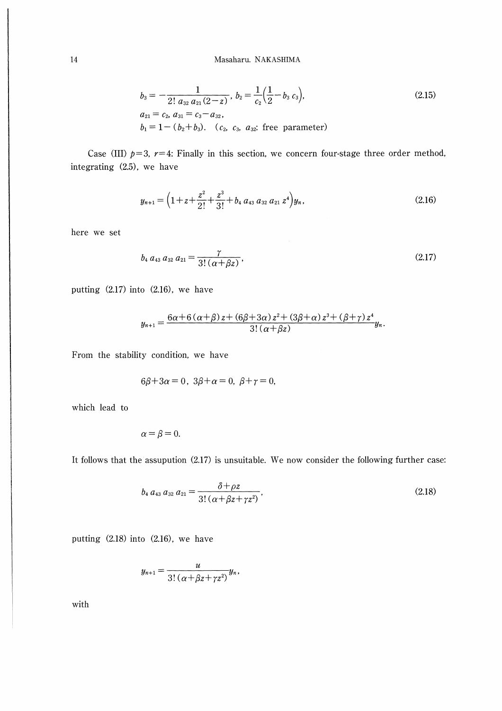$$
b_3 = -\frac{1}{2! \ a_{32} \ a_{21} (2-z)}, \ b_2 = \frac{1}{c_2} (\frac{1}{2} - b_3 \ c_3),
$$
  
\n
$$
a_{21} = c_2, \ a_{31} = c_3 - a_{32},
$$
  
\n
$$
b_1 = 1 - (b_2 + b_3). \ (c_2, \ c_3, \ a_{32}: \text{free parameter})
$$
\n(2.15)

Case (III)  $p=3$ ,  $r=4$ : Finally in this section, we concern four-stage three order method, integrating (2.5), we have

$$
y_{n+1} = \left(1 + z + \frac{z^2}{2!} + \frac{z^3}{3!} + b_4 a_{43} a_{32} a_{21} z^4\right) y_n, \tag{2.16}
$$

here we set

$$
b_4 a_{43} a_{32} a_{21} = \frac{\gamma}{3! \left( \alpha + \beta z \right)}, \tag{2.17}
$$

putting (2.17) into (2.16), we have

$$
y_{n+1} = \frac{6\alpha+6\left(\alpha+\beta\right)z+\left(6\beta+3\alpha\right)z^2+\left(3\beta+\alpha\right)z^3+\left(\beta+\gamma\right)z^4}{3!\left(\alpha+\beta z\right)}y_n.
$$

From the stability condition, we have

$$
6\beta+3\alpha=0, 3\beta+\alpha=0, \beta+\gamma=0,
$$

which lead to

$$
\alpha = \beta = 0.
$$

It follows that the assupution (2.17) is unsuitable. We now consider the following further case:

$$
b_4 a_{43} a_{32} a_{21} = \frac{\delta + \rho z}{3! \left( \alpha + \beta z + \gamma z^2 \right)},\tag{2.18}
$$

putting (2.18) into (2.16), we have

$$
y_{n+1}=\frac{u}{3!\left(\alpha+\beta z+\gamma z^2\right)}y_n,
$$

with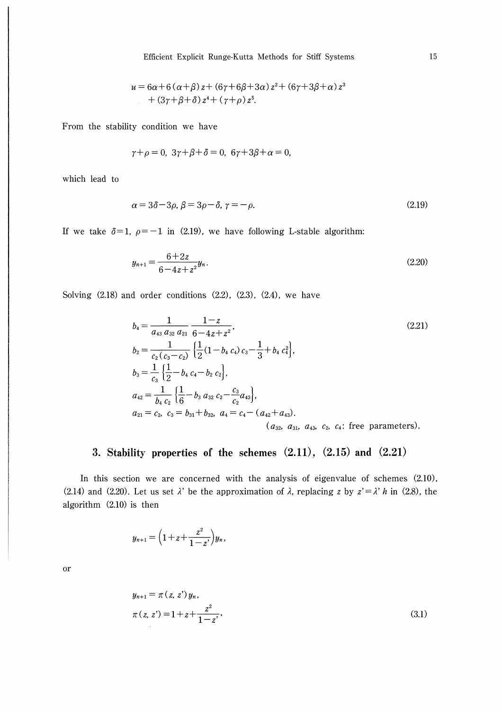$$
u = 6\alpha + 6(\alpha + \beta)z + (6\gamma + 6\beta + 3\alpha)z^{2} + (6\gamma + 3\beta + \alpha)z^{3}
$$
  
+ 
$$
(3\gamma + \beta + \delta)z^{4} + (\gamma + \rho)z^{5}.
$$

From the stability condition we have

$$
\gamma + \rho = 0, \ 3\gamma + \beta + \delta = 0, \ 6\gamma + 3\beta + \alpha = 0,
$$

which lead to

$$
\alpha = 3\delta - 3\rho, \beta = 3\rho - \delta, \gamma = -\rho. \tag{2.19}
$$

If we take  $\delta=1$ ,  $\rho=-1$  in (2.19), we have following L-stable algorithm:

$$
y_{n+1} = \frac{6+2z}{6-4z+z^2}y_n.
$$
\n(2.20)

Solving (2.18) and order conditions (2.2), (2.3), (2.4), we have

$$
b_4 = \frac{1}{a_{43} a_{32} a_{21}} \frac{1-z}{6-4z+z^2},
$$
\n
$$
b_2 = \frac{1}{c_2 (c_3-c_2)} \left\{ \frac{1}{2} (1-b_4 c_4) c_3 - \frac{1}{3} + b_4 c_4^2 \right\},
$$
\n
$$
b_3 = \frac{1}{c_3} \left\{ \frac{1}{2} - b_4 c_4 - b_2 c_2 \right\},
$$
\n
$$
a_{42} = \frac{1}{b_4 c_2} \left\{ \frac{1}{6} - b_3 a_{32} c_2 - \frac{c_3}{c_2} a_{43} \right\},
$$
\n
$$
a_{21} = c_2, c_3 = b_{31} + b_{32}, a_4 = c_4 - (a_{42} + a_{43}).
$$
\n
$$
(a_{32}, a_{31}, a_{43}, c_2, c_4: \text{free parameters}).
$$
\n(2.21)

# 3. Stability properties of the schemes  $(2.11)$ ,  $(2.15)$  and  $(2.21)$

In this section we are concerned with the analysis of eigenvalue of schemes (2.10), (2.14) and (2.20). Let us set  $\lambda'$  be the approximation of  $\lambda$ , replacing z by  $z' = \lambda' h$  in (2.8), the algorithm (2.10) is then

$$
y_{n+1} = \left(1 + z + \frac{z^2}{1 - z^*}\right) y_n
$$

Or

$$
y_{n+1} = \pi (z, z') y_n,
$$
  
\n
$$
\pi (z, z') = 1 + z + \frac{z^2}{1 - z'},
$$
\n(3.1)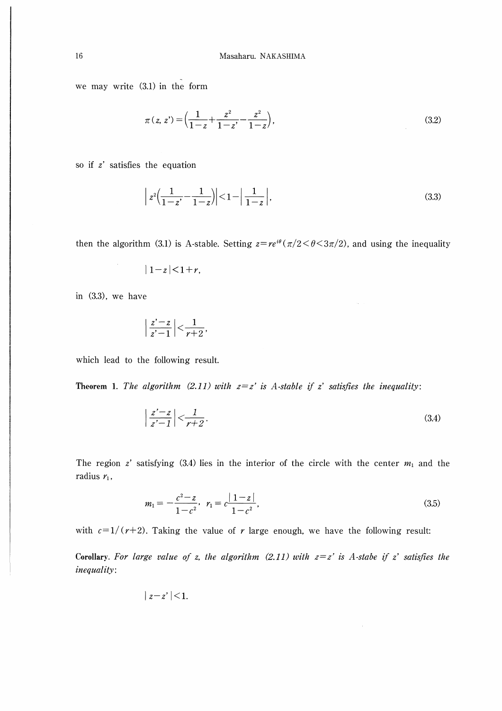we may write (3.1) in the form

$$
\pi(z, z') = \left(\frac{1}{1-z} + \frac{z^2}{1-z'} - \frac{z^2}{1-z}\right),\tag{3.2}
$$

so if  $z'$  satisfies the equation

$$
\left| z^{2} \left( \frac{1}{1-z'} - \frac{1}{1-z} \right) \right| < 1 - \left| \frac{1}{1-z} \right|,\tag{3.3}
$$

then the algorithm (3.1) is A-stable. Setting  $z = re^{i\theta}(\pi/2 < \theta < 3\pi/2)$ , and using the inequality

$$
|1-z|<1+r,
$$

in (3.3), we have

$$
\left|\frac{z'-z}{z'-1}\right| < \frac{1}{r+2},
$$

which lead to the following result.

Theorem 1. The algorithm (2.11) with  $z=z'$  is A-stable if z' satisfies the inequality:

$$
\left|\frac{z'-z}{z'-1}\right| < \frac{1}{r+2}.\tag{3.4}
$$

The region z' satisfying (3.4) lies in the interior of the circle with the center  $m_1$  and the radius  $r_1$ ,

$$
m_1 = -\frac{c^2 - z}{1 - c^2}, \quad r_1 = c \frac{|1 - z|}{1 - c^2}, \tag{3.5}
$$

with  $c=1/(r+2)$ . Taking the value of r large enough, we have the following result:

Corollary. For large value of z, the algorithm  $(2.11)$  with  $z=z'$  is A-stabe if z' satisfies the inequality.

 $|z-z'|<1.$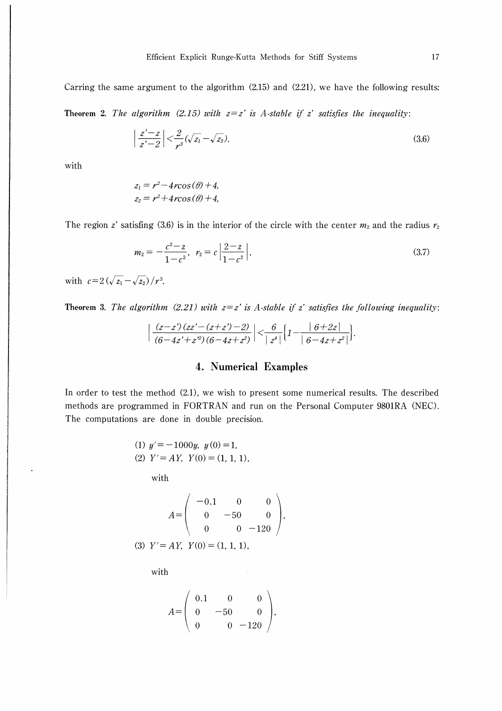Carring the same argument to the algorithm (2.15) and (2.21), we have the following results:

Theorem 2. The algorithm (2.15) with  $z=z'$  is A-stable if z' satisfies the inequality:

$$
\left|\frac{z'-z}{z'-2}\right| < \frac{2}{r^3}(\sqrt{z_1} - \sqrt{z_2}).\tag{3.6}
$$

with

$$
z_1 = r^2 - 4rcos(\theta) + 4,
$$
  

$$
z_2 = r^2 + 4rcos(\theta) + 4,
$$

The region z' satisfing (3.6) is in the interior of the circle with the center  $m_2$  and the radius  $r_2$ 

$$
m_2 = -\frac{c^2 - z}{1 - c^2}, \quad r_2 = c \left| \frac{2 - z}{1 - c^2} \right|,
$$
\n(3.7)

with  $c=2(\sqrt{z_1}-\sqrt{z_2})/r^3$ .

Theorem 3. The algorithm (2.21) with  $z=z'$  is A-stable if z' satisfies the following inequality:

$$
\left|\frac{(z-z')(zz'-(z+z')-2)}{(6-4z'+z'')((6-4z+z^2))}\right| < \frac{6}{|z^4|}\left\{1-\frac{|6+2z|}{|6-4z+z^2|}\right\}.
$$

## 4. Numerical Examples

In order to test the method (2.1), we wish to present some numerical results. The described methods are programmed in FORTRAN and run on the Personal Computer 9801RA (NEC). The computations are done in double precision.

(1) 
$$
y' = -1000y
$$
,  $y(0) = 1$ ,  
(2)  $Y' = AY$ ,  $Y(0) = (1, 1, 1)$ ,

with

$$
A = \begin{pmatrix} -0.1 & 0 & 0 \\ 0 & -50 & 0 \\ 0 & 0 & -120 \end{pmatrix},
$$
  
(3)  $Y' = AY$ ,  $Y(0) = (1, 1, 1)$ ,

with

$$
A = \left(\begin{array}{ccc} 0.1 & 0 & 0 \\ 0 & -50 & 0 \\ 0 & 0 & -120 \end{array}\right),
$$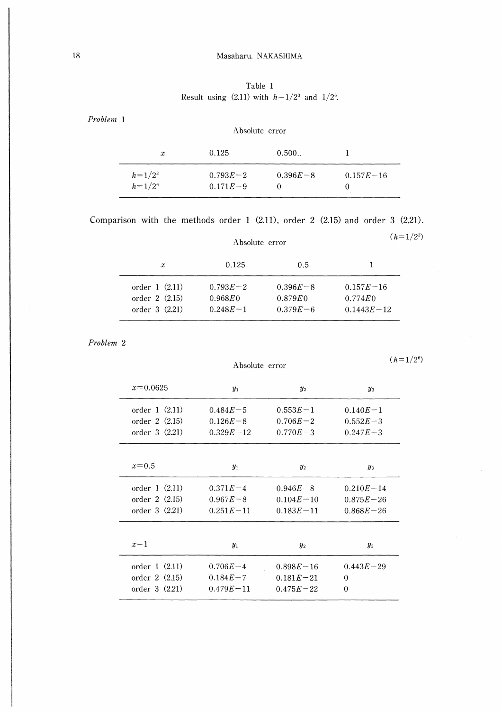# 18 Masaharu. NAKASHIMA

Table 1 Result using (2.11) with  $h=1/2^3$  and  $1/2^6$ .

Problem 1

| $\boldsymbol{x}$           | 0.125                        | 0.500        |               |
|----------------------------|------------------------------|--------------|---------------|
| $h = 1/2^3$<br>$h = 1/2^6$ | $0.793E - 2$<br>$0.171E - 9$ | $0.396E - 8$ | $0.157E - 16$ |

Absolute error

Comparison with the methods order 1 (2.ll), order 2 (2.15) and order 3 (2.21).

|                                                      | Absolute error                                        |                                        | $(h=1/2^3)$                                   |
|------------------------------------------------------|-------------------------------------------------------|----------------------------------------|-----------------------------------------------|
| $\boldsymbol{x}$                                     | 0.125                                                 | 0.5                                    |                                               |
| order $1(2.11)$<br>order 2 (2.15)<br>order $3(2.21)$ | $0.793E - 2$<br>$0.968E$ <sub>0</sub><br>$0.248E - 1$ | $0.396E - 8$<br>0.879E<br>$0.379E - 6$ | $0.157E - 16$<br>$0.774E_0$<br>$0.1443E - 12$ |

Problem 2

Absolute error

 $(h = 1/2^6)$ 

| $x=0.0625$      | $y_1$         | $y_2$         | $y_3$         |
|-----------------|---------------|---------------|---------------|
| order $1(2.11)$ | $0.484E - 5$  | $0.553E - 1$  | $0.140E - 1$  |
| order 2(2.15)   | $0.126E - 8$  | $0.706E - 2$  | $0.552E - 3$  |
| order 3 (2.21)  | $0.329E - 12$ | $0.770E - 3$  | $0.247E - 3$  |
|                 |               |               |               |
| $x=0.5$         | $y_1$         | $y_2$         | $y_3$         |
| order 1 (2.11)  | $0.371E - 4$  | $0.946E - 8$  | $0.210E - 14$ |
| order 2 (2.15)  | $0.967E - 8$  | $0.104E - 10$ | $0.875E - 26$ |
| order $3(2.21)$ | $0.251E - 11$ | $0.183E - 11$ | $0.868E - 26$ |
|                 |               |               |               |
| $x=1$           | $y_1$         | $y_2$         | $y_3$         |
| order $1(2.11)$ | $0.706E - 4$  | $0.898E - 16$ | $0.443E - 29$ |
| order 2 (2.15)  | $0.184E - 7$  | $0.181E - 21$ | $\Omega$      |
| order 3 (2.21)  | $0.479E - 11$ | $0.475E - 22$ | $\Omega$      |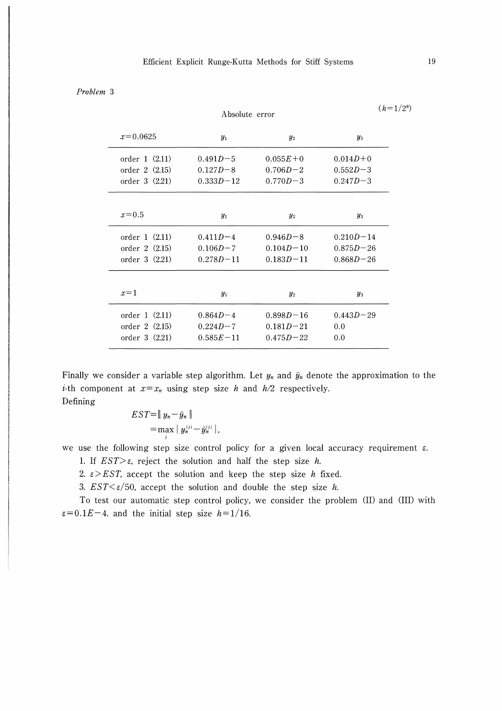### Problem 3

|                 |               | Absolute error |               |  |
|-----------------|---------------|----------------|---------------|--|
| $x=0.0625$      | $y_1$         | $y_2$          | $y_3$         |  |
| order $1(2.11)$ | $0.491D - 5$  | $0.055E + 0$   | $0.014D + 0$  |  |
| order 2 (2.15)  | $0.127D - 8$  | $0.706D - 2$   | $0.552D - 3$  |  |
| order $3(2.21)$ | $0.333D - 12$ | $0.770D - 3$   | $0.247D - 3$  |  |
| $x=0.5$         | $y_1$         | $y_2$          | $y_3$         |  |
| order $1(2.11)$ | $0.411D - 4$  | $0.946D - 8$   | $0.210D - 14$ |  |
| order $2(2.15)$ | $0.106D - 7$  | $0.104D - 10$  | $0.875D - 26$ |  |
| order $3(2.21)$ | $0.278D - 11$ | $0.183D - 11$  | $0.868D - 26$ |  |
| $x=1$           | $y_1$         | $y_2$          | $y_3$         |  |
| order 1 (2.11)  | $0.864D - 4$  | $0.898D - 16$  | $0.443D - 29$ |  |
| order 2(2.15)   | $0.224D - 7$  | $0.181D - 21$  | 0.0           |  |
| order 3 (2.21)  | $0.585E - 11$ | $0.475D - 22$  | 0.0           |  |

Finally we consider a variable step algorithm. Let  $y_n$  and  $\tilde{y}_n$  denote the approximation to the *i*-th component at  $x=x_n$  using step size h and  $h/2$  respectively. Defining

> $EST=\Vert y_n-\tilde{y}_n\Vert$  $=$ max  $|y_n^{(i)} - \tilde{y}_n^{(i)}|$

we use the following step size control policy for a given local accuracy requirement  $\varepsilon$ .

1. If  $EST>\varepsilon$ , reject the solution and half the step size h.

2.  $\epsilon$  > EST, accept the solution and keep the step size h fixed.

3.  $EST \leq \varepsilon/50$ , accept the solution and double the step size h.

To test our automatic step control policy, we consider the problem (II) and (III) with  $\varepsilon=0.1E-4$ . and the initial step size  $h=1/16$ .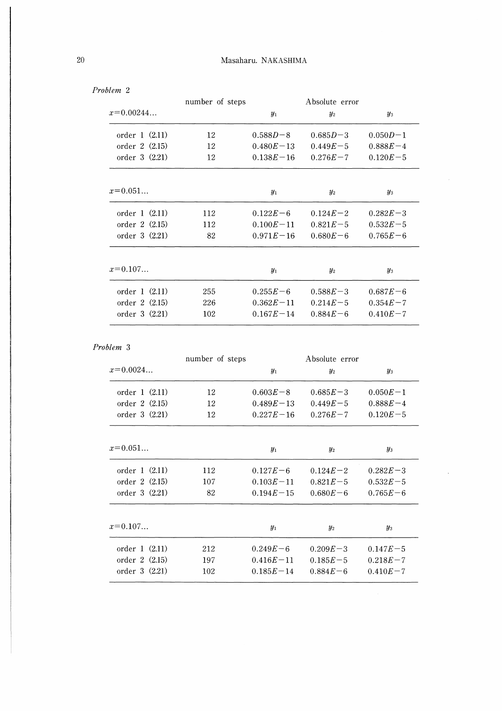|                 | number of steps |               | Absolute error |              |  |
|-----------------|-----------------|---------------|----------------|--------------|--|
| $x=0.00244$     |                 | $y_1$         | $y_2$          | $y_3$        |  |
| order 1 (2.11)  | 12              | $0.588D - 8$  | $0.685D - 3$   | $0.050D - 1$ |  |
| order 2(2.15)   | 12              | $0.480E - 13$ | $0.449E - 5$   | $0.888E - 4$ |  |
| order $3(2.21)$ | 12              | $0.138E - 16$ | $0.276E - 7$   | $0.120E - 5$ |  |
|                 |                 |               |                |              |  |
| $x=0.051$       |                 | $y_1$         | $y_2$          | $y_3$        |  |
| order $1(2.11)$ | 112             | $0.122E - 6$  | $0.124E - 2$   | $0.282E - 3$ |  |
| order 2 (2.15)  | 112             | $0.100E - 11$ | $0.821E - 5$   | $0.532E - 5$ |  |
| order $3(2.21)$ | 82              | $0.971E - 16$ | $0.680E - 6$   | $0.765E - 6$ |  |
|                 |                 |               |                |              |  |
| $x=0.107$       |                 | $y_1$         | $y_2$          | $y_3$        |  |
| order $1(2.11)$ | 255             | $0.255E - 6$  | $0.588E - 3$   | $0.687E - 6$ |  |
| order $2(2.15)$ | 226             | $0.362E - 11$ | $0.214E - 5$   | $0.354E - 7$ |  |
| order 3 (2.21)  | 102             | $0.167E - 14$ | $0.884E - 6$   | $0.410E - 7$ |  |

## Problem 3

|                 | number of steps | Absolute error |              |              |
|-----------------|-----------------|----------------|--------------|--------------|
| $x=0.0024$      |                 | $y_1$          | $y_2$        | $y_3$        |
| order 1 (2.11)  | 12              | $0.603E - 8$   | $0.685E - 3$ | $0.050E - 1$ |
| order 2 (2.15)  | 12              | $0.489E - 13$  | $0.449E - 5$ | $0.888E - 4$ |
| order $3(2.21)$ | 12              | $0.227E - 16$  | $0.276E - 7$ | $0.120E - 5$ |
| $x=0.051$       |                 | $y_1$          | $y_2$        | $y_3$        |
| order $1(2.11)$ | 112             | $0.127E - 6$   | $0.124E - 2$ | $0.282E - 3$ |
| order $2(2.15)$ | 107             | $0.103E - 11$  | $0.821E - 5$ | $0.532E - 5$ |
| order 3 (2.21)  | 82              | $0.194E - 15$  | $0.680E - 6$ | $0.765E - 6$ |
| $x=0.107$       |                 | $y_1$          | $y_2$        | $y_3$        |
| order 1 (2.11)  | 212             | $0.249E - 6$   | $0.209E - 3$ | $0.147E - 5$ |
| order 2 (2.15)  | 197             | $0.416E - 11$  | $0.185E - 5$ | $0.218E - 7$ |
| order 3 (2.21)  | 102             | $0.185E - 14$  | $0.884E - 6$ | $0.410E - 7$ |

 $\sim$ 

Problem 2